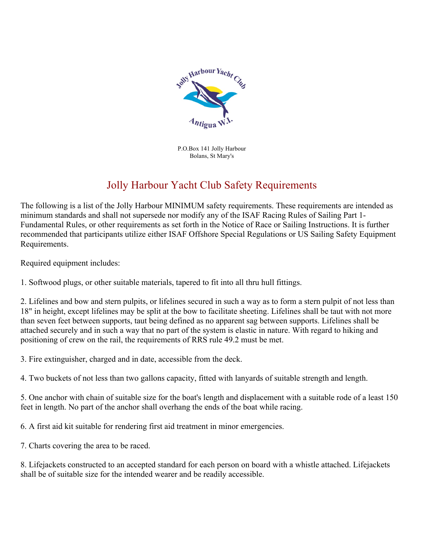

P.O.Box 141 Jolly Harbour Bolans, St Mary's

## Jolly Harbour Yacht Club Safety Requirements

The following is a list of the Jolly Harbour MINIMUM safety requirements. These requirements are intended as minimum standards and shall not supersede nor modify any of the ISAF Racing Rules of Sailing Part 1- Fundamental Rules, or other requirements as set forth in the Notice of Race or Sailing Instructions. It is further recommended that participants utilize either ISAF Offshore Special Regulations or US Sailing Safety Equipment Requirements.

Required equipment includes:

1. Softwood plugs, or other suitable materials, tapered to fit into all thru hull fittings.

2. Lifelines and bow and stern pulpits, or lifelines secured in such a way as to form a stern pulpit of not less than 18" in height, except lifelines may be split at the bow to facilitate sheeting. Lifelines shall be taut with not more than seven feet between supports, taut being defined as no apparent sag between supports. Lifelines shall be attached securely and in such a way that no part of the system is elastic in nature. With regard to hiking and positioning of crew on the rail, the requirements of RRS rule 49.2 must be met.

3. Fire extinguisher, charged and in date, accessible from the deck.

4. Two buckets of not less than two gallons capacity, fitted with lanyards of suitable strength and length.

5. One anchor with chain of suitable size for the boat's length and displacement with a suitable rode of a least 150 feet in length. No part of the anchor shall overhang the ends of the boat while racing.

6. A first aid kit suitable for rendering first aid treatment in minor emergencies.

7. Charts covering the area to be raced.

8. Lifejackets constructed to an accepted standard for each person on board with a whistle attached. Lifejackets shall be of suitable size for the intended wearer and be readily accessible.